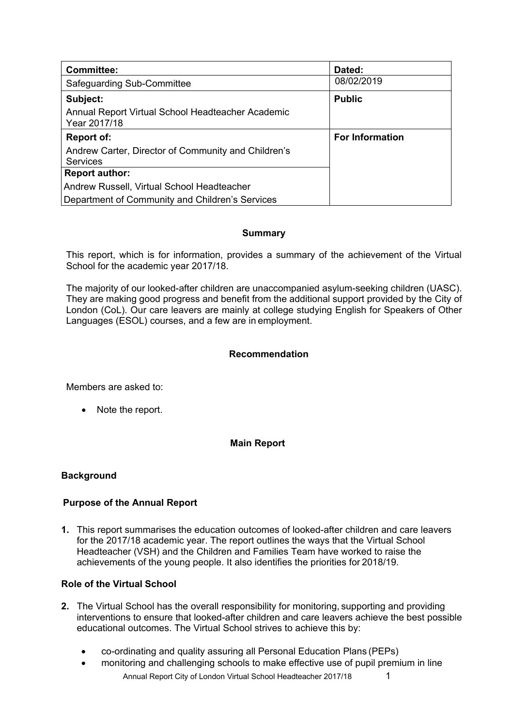| <b>Committee:</b>                                                      | Dated:                 |
|------------------------------------------------------------------------|------------------------|
| Safeguarding Sub-Committee                                             | 08/02/2019             |
| Subject:                                                               | <b>Public</b>          |
| Annual Report Virtual School Headteacher Academic<br>Year 2017/18      |                        |
| <b>Report of:</b>                                                      | <b>For Information</b> |
| Andrew Carter, Director of Community and Children's<br><b>Services</b> |                        |
| <b>Report author:</b>                                                  |                        |
| Andrew Russell, Virtual School Headteacher                             |                        |
| Department of Community and Children's Services                        |                        |

## **Summary**

This report, which is for information, provides a summary of the achievement of the Virtual School for the academic year 2017/18.

The majority of our looked-after children are unaccompanied asylum-seeking children (UASC). They are making good progress and benefit from the additional support provided by the City of London (CoL). Our care leavers are mainly at college studying English for Speakers of Other Languages (ESOL) courses, and a few are in employment.

### **Recommendation**

Members are asked to:

• Note the report.

### **Main Report**

### **Background**

### **Purpose of the Annual Report**

**1.** This report summarises the education outcomes of looked-after children and care leavers for the 2017/18 academic year. The report outlines the ways that the Virtual School Headteacher (VSH) and the Children and Families Team have worked to raise the achievements of the young people. It also identifies the priorities for 2018/19.

## **Role of the Virtual School**

- **2.** The Virtual School has the overall responsibility for monitoring, supporting and providing interventions to ensure that looked-after children and care leavers achieve the best possible educational outcomes. The Virtual School strives to achieve this by:
	- co-ordinating and quality assuring all Personal Education Plans (PEPs)
	- Annual Report City of London Virtual School Headteacher 2017/18 1 monitoring and challenging schools to make effective use of pupil premium in line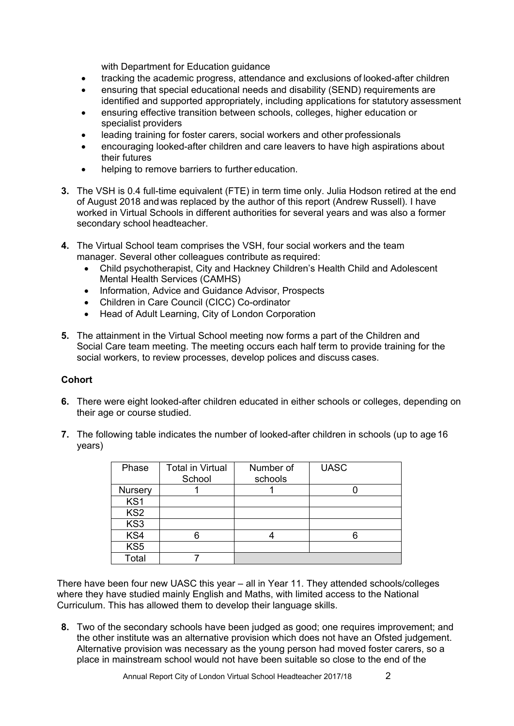with Department for Education guidance

- tracking the academic progress, attendance and exclusions of looked-after children
- ensuring that special educational needs and disability (SEND) requirements are identified and supported appropriately, including applications for statutory assessment
- ensuring effective transition between schools, colleges, higher education or specialist providers
- leading training for foster carers, social workers and other professionals
- encouraging looked-after children and care leavers to have high aspirations about their futures
- helping to remove barriers to further education.
- **3.** The VSH is 0.4 full-time equivalent (FTE) in term time only. Julia Hodson retired at the end of August 2018 and was replaced by the author of this report (Andrew Russell). I have worked in Virtual Schools in different authorities for several years and was also a former secondary school headteacher.
- **4.** The Virtual School team comprises the VSH, four social workers and the team manager. Several other colleagues contribute as required:
	- Child psychotherapist, City and Hackney Children's Health Child and Adolescent Mental Health Services (CAMHS)
	- Information, Advice and Guidance Advisor, Prospects
	- Children in Care Council (CICC) Co-ordinator
	- Head of Adult Learning, City of London Corporation
- **5.** The attainment in the Virtual School meeting now forms a part of the Children and Social Care team meeting. The meeting occurs each half term to provide training for the social workers, to review processes, develop polices and discuss cases.

### **Cohort**

- **6.** There were eight looked-after children educated in either schools or colleges, depending on their age or course studied.
- **7.** The following table indicates the number of looked-after children in schools (up to age 16 years)

| Phase           | <b>Total in Virtual</b><br>School | Number of<br>schools | <b>UASC</b> |
|-----------------|-----------------------------------|----------------------|-------------|
| Nursery         |                                   |                      |             |
| KS <sub>1</sub> |                                   |                      |             |
| KS <sub>2</sub> |                                   |                      |             |
| KS3             |                                   |                      |             |
| KS4             |                                   |                      |             |
| KS <sub>5</sub> |                                   |                      |             |
| <b>Total</b>    |                                   |                      |             |

There have been four new UASC this year – all in Year 11. They attended schools/colleges where they have studied mainly English and Maths, with limited access to the National Curriculum. This has allowed them to develop their language skills.

**8.** Two of the secondary schools have been judged as good; one requires improvement; and the other institute was an alternative provision which does not have an Ofsted judgement. Alternative provision was necessary as the young person had moved foster carers, so a place in mainstream school would not have been suitable so close to the end of the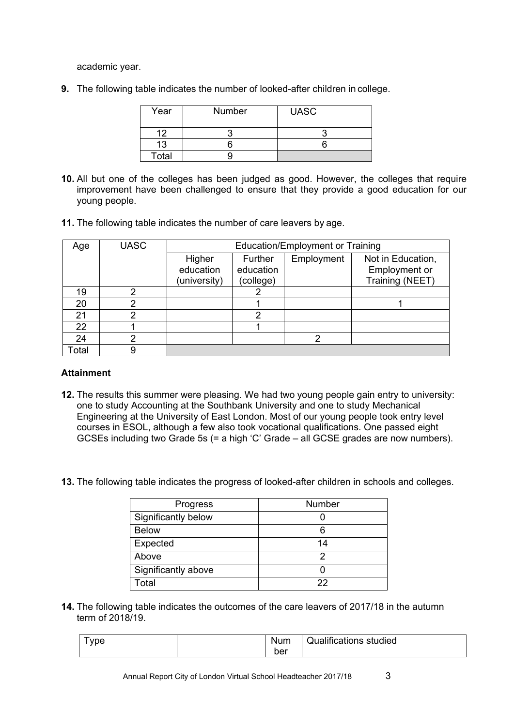academic year.

**9.** The following table indicates the number of looked-after children in college.

| Year  | <b>Number</b> | <b>UASC</b> |
|-------|---------------|-------------|
| 12    |               |             |
| 13    |               |             |
| Total |               |             |

- **10.** All but one of the colleges has been judged as good. However, the colleges that require improvement have been challenged to ensure that they provide a good education for our young people.
- **11.** The following table indicates the number of care leavers by age.

| Age   | <b>UASC</b> | <b>Education/Employment or Training</b> |           |            |                   |
|-------|-------------|-----------------------------------------|-----------|------------|-------------------|
|       |             | Higher                                  | Further   | Employment | Not in Education, |
|       |             | education                               | education |            | Employment or     |
|       |             | (university)                            | (college) |            | Training (NEET)   |
| 19    |             |                                         |           |            |                   |
| 20    |             |                                         |           |            |                   |
| 21    |             |                                         | 2         |            |                   |
| 22    |             |                                         |           |            |                   |
| 24    | ົ           |                                         |           |            |                   |
| Total |             |                                         |           |            |                   |

### **Attainment**

- **12.** The results this summer were pleasing. We had two young people gain entry to university: one to study Accounting at the Southbank University and one to study Mechanical Engineering at the University of East London. Most of our young people took entry level courses in ESOL, although a few also took vocational qualifications. One passed eight GCSEs including two Grade 5s (= a high 'C' Grade – all GCSE grades are now numbers).
- **13.** The following table indicates the progress of looked-after children in schools and colleges.

| Progress            | Number |
|---------------------|--------|
| Significantly below |        |
| <b>Below</b>        | 6      |
| Expected            | 14     |
| Above               | 2      |
| Significantly above |        |
| Total               | 22     |

**14.** The following table indicates the outcomes of the care leavers of 2017/18 in the autumn term of 2018/19.

| /pe | Num | <b>Qualifications studied</b> |
|-----|-----|-------------------------------|
|     | ber |                               |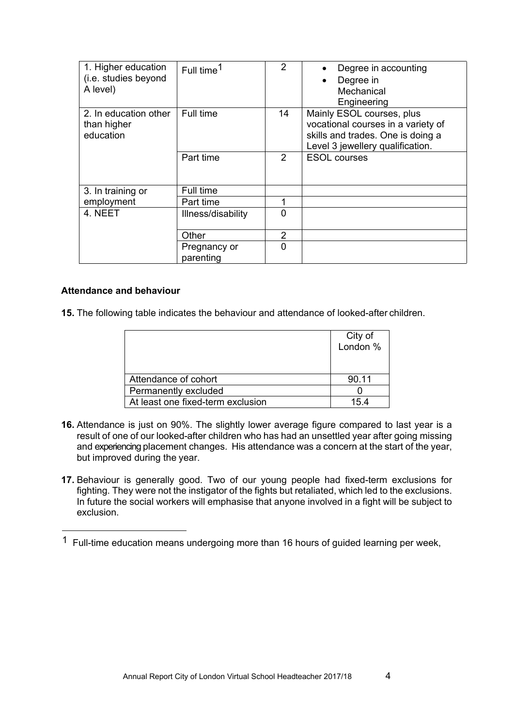| 1. Higher education<br>(i.e. studies beyond<br>A level) | Full time <sup>1</sup>    | $\mathcal{P}$  | Degree in accounting<br>Degree in<br>$\bullet$<br>Mechanical<br>Engineering                                                              |
|---------------------------------------------------------|---------------------------|----------------|------------------------------------------------------------------------------------------------------------------------------------------|
| 2. In education other<br>than higher<br>education       | Full time                 | 14             | Mainly ESOL courses, plus<br>vocational courses in a variety of<br>skills and trades. One is doing a<br>Level 3 jewellery qualification. |
|                                                         | Part time                 | 2              | <b>ESOL</b> courses                                                                                                                      |
| 3. In training or                                       | Full time                 |                |                                                                                                                                          |
| employment                                              | Part time                 |                |                                                                                                                                          |
| 4. NEET                                                 | Illness/disability        | $\Omega$       |                                                                                                                                          |
|                                                         | Other                     | $\overline{2}$ |                                                                                                                                          |
|                                                         | Pregnancy or<br>parenting | $\Omega$       |                                                                                                                                          |

### **Attendance and behaviour**

**15.** The following table indicates the behaviour and attendance of looked-after children.

|                                   | City of<br>London % |
|-----------------------------------|---------------------|
|                                   |                     |
|                                   |                     |
| Attendance of cohort              | 90.11               |
| Permanently excluded              |                     |
| At least one fixed-term exclusion | 154                 |

- **16.** Attendance is just on 90%. The slightly lower average figure compared to last year is a result of one of our looked-after children who has had an unsettled year after going missing and experiencing placement changes. His attendance was a concern at the start of the year, but improved during the year.
- **17.** Behaviour is generally good. Two of our young people had fixed-term exclusions for fighting. They were not the instigator of the fights but retaliated, which led to the exclusions. In future the social workers will emphasise that anyone involved in a fight will be subject to exclusion.

<sup>1</sup> Full-time education means undergoing more than 16 hours of guided learning per week,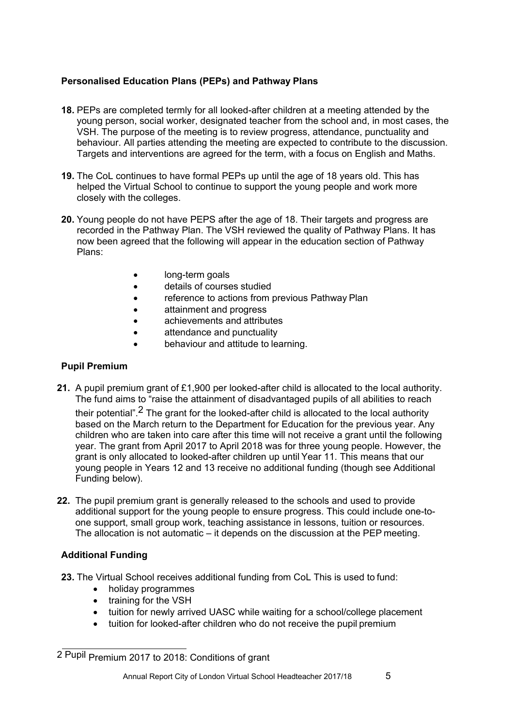# **Personalised Education Plans (PEPs) and Pathway Plans**

- **18.** PEPs are completed termly for all looked-after children at a meeting attended by the young person, social worker, designated teacher from the school and, in most cases, the VSH. The purpose of the meeting is to review progress, attendance, punctuality and behaviour. All parties attending the meeting are expected to contribute to the discussion. Targets and interventions are agreed for the term, with a focus on English and Maths.
- **19.** The CoL continues to have formal PEPs up until the age of 18 years old. This has helped the Virtual School to continue to support the young people and work more closely with the colleges.
- **20.** Young people do not have PEPS after the age of 18. Their targets and progress are recorded in the Pathway Plan. The VSH reviewed the quality of Pathway Plans. It has now been agreed that the following will appear in the education section of Pathway Plans:
	- long-term goals
	- details of courses studied
	- reference to actions from previous Pathway Plan
	- attainment and progress
	- achievements and attributes
	- attendance and punctuality
	- behaviour and attitude to learning.

## **Pupil Premium**

- **21.** A pupil premium grant of £1,900 per looked-after child is allocated to the local authority. The fund aims to "raise the attainment of disadvantaged pupils of all abilities to reach their potential".<sup>2</sup> The grant for the looked-after child is allocated to the local authority based on the March return to the Department for Education for the previous year. Any children who are taken into care after this time will not receive a grant until the following year. The grant from April 2017 to April 2018 was for three young people. However, the grant is only allocated to looked-after children up until Year 11. This means that our young people in Years 12 and 13 receive no additional funding (though see Additional Funding below).
- **22.** The pupil premium grant is generally released to the schools and used to provide additional support for the young people to ensure progress. This could include one-toone support, small group work, teaching assistance in lessons, tuition or resources. The allocation is not automatic – it depends on the discussion at the PEP meeting.

# **Additional Funding**

- **23.** The Virtual School receives additional funding from CoL This is used to fund:
	- holiday programmes
	- training for the VSH
	- tuition for newly arrived UASC while waiting for a school/college placement
	- tuition for looked-after children who do not receive the pupil premium

<sup>2</sup> Pupil Premium 2017 to 2018: Conditions of grant